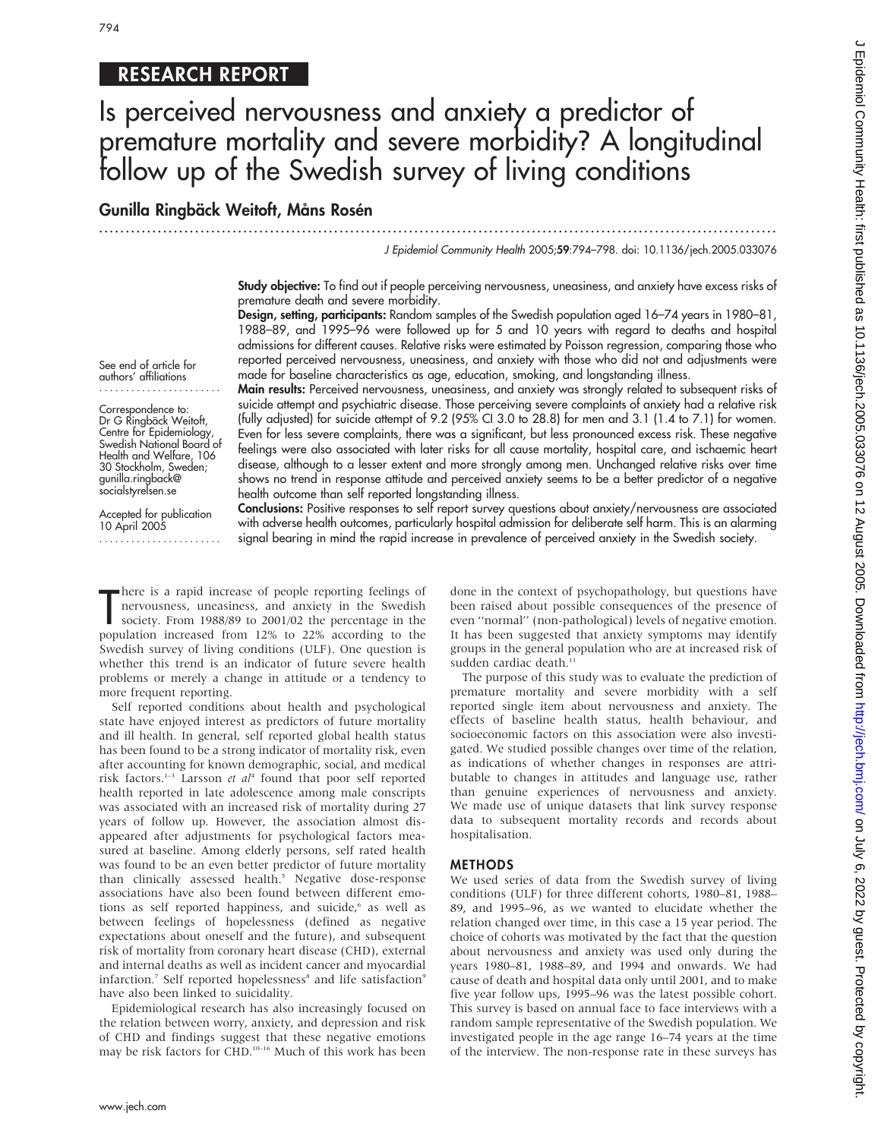## RESEARCH REPORT

# Is perceived nervousness and anxiety a predictor of premature mortality and severe morbidity? A longitudinal follow up of the Swedish survey of living conditions

...............................................................................................................................

### Gunilla Ringbäck Weitoft, Måns Rosén

J Epidemiol Community Health 2005;59:794–798. doi: 10.1136/jech.2005.033076

Study objective: To find out if people perceiving nervousness, uneasiness, and anxiety have excess risks of premature death and severe morbidity.

Design, setting, participants: Random samples of the Swedish population aged 16–74 years in 1980–81, 1988–89, and 1995–96 were followed up for 5 and 10 years with regard to deaths and hospital admissions for different causes. Relative risks were estimated by Poisson regression, comparing those who reported perceived nervousness, uneasiness, and anxiety with those who did not and adjustments were made for baseline characteristics as age, education, smoking, and longstanding illness. Main results: Perceived nervousness, uneasiness, and anxiety was strongly related to subsequent risks of

authors' affiliations ....................... Correspondence to: Dr G Ringbäck Weitoft, Centre for Epidemiology, Swedish National Board of Health and Welfare, 106 suicide attempt and psychiatric disease. Those perceiving severe complaints of anxiety had a relative risk (fully adjusted) for suicide attempt of 9.2 (95% CI 3.0 to 28.8) for men and 3.1 (1.4 to 7.1) for women.

Even for less severe complaints, there was a significant, but less pronounced excess risk. These negative feelings were also associated with later risks for all cause mortality, hospital care, and ischaemic heart disease, although to a lesser extent and more strongly among men. Unchanged relative risks over time shows no trend in response attitude and perceived anxiety seems to be a better predictor of a negative health outcome than self reported longstanding illness. Conclusions: Positive responses to self report survey questions about anxiety/nervousness are associated

Accepted for publication 10 April 2005 .......................

30 Stockholm, Sweden; gunilla.ringback@ socialstyrelsen.se

See end of article for

with adverse health outcomes, particularly hospital admission for deliberate self harm. This is an alarming signal bearing in mind the rapid increase in prevalence of perceived anxiety in the Swedish society.

There is a rapid increase of people reporting feelings of<br>nervousness, uneasiness, and anxiety in the Swedish<br>society. From 1988/89 to 2001/02 the percentage in the<br>population increased from 12% to 22% according to the here is a rapid increase of people reporting feelings of nervousness, uneasiness, and anxiety in the Swedish society. From 1988/89 to 2001/02 the percentage in the Swedish survey of living conditions (ULF). One question is whether this trend is an indicator of future severe health problems or merely a change in attitude or a tendency to more frequent reporting.

Self reported conditions about health and psychological state have enjoyed interest as predictors of future mortality and ill health. In general, self reported global health status has been found to be a strong indicator of mortality risk, even after accounting for known demographic, social, and medical risk factors.<sup>1-3</sup> Larsson et  $al<sup>4</sup>$  found that poor self reported health reported in late adolescence among male conscripts was associated with an increased risk of mortality during 27 years of follow up. However, the association almost disappeared after adjustments for psychological factors measured at baseline. Among elderly persons, self rated health was found to be an even better predictor of future mortality than clinically assessed health.<sup>5</sup> Negative dose-response associations have also been found between different emotions as self reported happiness, and suicide,<sup>6</sup> as well as between feelings of hopelessness (defined as negative expectations about oneself and the future), and subsequent risk of mortality from coronary heart disease (CHD), external and internal deaths as well as incident cancer and myocardial infarction.<sup>7</sup> Self reported hopelessness<sup>8</sup> and life satisfaction<sup>9</sup> have also been linked to suicidality.

Epidemiological research has also increasingly focused on the relation between worry, anxiety, and depression and risk of CHD and findings suggest that these negative emotions may be risk factors for CHD.<sup>10-16</sup> Much of this work has been

done in the context of psychopathology, but questions have been raised about possible consequences of the presence of even ''normal'' (non-pathological) levels of negative emotion. It has been suggested that anxiety symptoms may identify groups in the general population who are at increased risk of sudden cardiac death.<sup>11</sup>

The purpose of this study was to evaluate the prediction of premature mortality and severe morbidity with a self reported single item about nervousness and anxiety. The effects of baseline health status, health behaviour, and socioeconomic factors on this association were also investigated. We studied possible changes over time of the relation, as indications of whether changes in responses are attributable to changes in attitudes and language use, rather than genuine experiences of nervousness and anxiety. We made use of unique datasets that link survey response data to subsequent mortality records and records about hospitalisation.

#### METHODS

We used series of data from the Swedish survey of living conditions (ULF) for three different cohorts, 1980–81, 1988– 89, and 1995–96, as we wanted to elucidate whether the relation changed over time, in this case a 15 year period. The choice of cohorts was motivated by the fact that the question about nervousness and anxiety was used only during the years 1980–81, 1988–89, and 1994 and onwards. We had cause of death and hospital data only until 2001, and to make five year follow ups, 1995–96 was the latest possible cohort. This survey is based on annual face to face interviews with a random sample representative of the Swedish population. We investigated people in the age range 16–74 years at the time of the interview. The non-response rate in these surveys has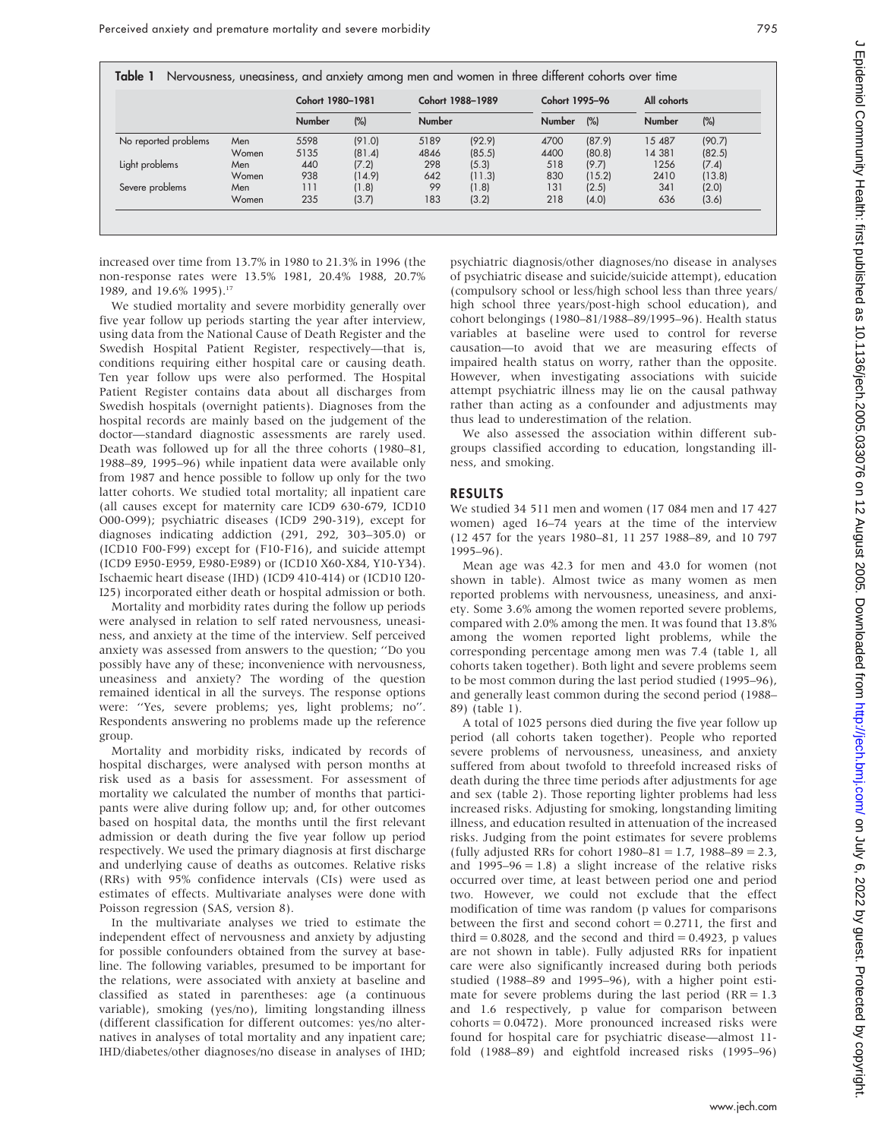Table 1 Nervousness, uneasiness, and anxiety among men and women in three different cohorts over time

|                      |       | Cohort 1980-1981 |        | Cohort 1988-1989 |        | Cohort 1995-96 |        | All cohorts   |        |
|----------------------|-------|------------------|--------|------------------|--------|----------------|--------|---------------|--------|
|                      |       | <b>Number</b>    | (%)    | Number           |        | <b>Number</b>  | (%)    | <b>Number</b> | (%)    |
| No reported problems | Men   | 5598             | (91.0) | 5189             | (92.9) | 4700           | (87.9) | 15 487        | (90.7) |
|                      | Women | 5135             | (81.4) | 4846             | (85.5) | 4400           | (80.8) | 14 38 1       | (82.5) |
| Light problems       | Men   | 440              | (7.2)  | 298              | (5.3)  | 518            | (9.7)  | 1256          | (7.4)  |
|                      | Women | 938              | (14.9) | 642              | (11.3) | 830            | (15.2) | 2410          | (13.8) |
| Severe problems      | Men   | 111              | (1.8)  | 99               | (1.8)  | 131            | (2.5)  | 341           | (2.0)  |
|                      | Women | 235              | (3.7)  | 183              | (3.2)  | 218            | (4.0)  | 636           | (3.6)  |

increased over time from 13.7% in 1980 to 21.3% in 1996 (the non-response rates were 13.5% 1981, 20.4% 1988, 20.7% 1989, and 19.6% 1995).<sup>17</sup>

We studied mortality and severe morbidity generally over five year follow up periods starting the year after interview, using data from the National Cause of Death Register and the Swedish Hospital Patient Register, respectively—that is, conditions requiring either hospital care or causing death. Ten year follow ups were also performed. The Hospital Patient Register contains data about all discharges from Swedish hospitals (overnight patients). Diagnoses from the hospital records are mainly based on the judgement of the doctor—standard diagnostic assessments are rarely used. Death was followed up for all the three cohorts (1980–81, 1988–89, 1995–96) while inpatient data were available only from 1987 and hence possible to follow up only for the two latter cohorts. We studied total mortality; all inpatient care (all causes except for maternity care ICD9 630-679, ICD10 O00-O99); psychiatric diseases (ICD9 290-319), except for diagnoses indicating addiction (291, 292, 303–305.0) or (ICD10 F00-F99) except for (F10-F16), and suicide attempt (ICD9 E950-E959, E980-E989) or (ICD10 X60-X84, Y10-Y34). Ischaemic heart disease (IHD) (ICD9 410-414) or (ICD10 I20- I25) incorporated either death or hospital admission or both.

Mortality and morbidity rates during the follow up periods were analysed in relation to self rated nervousness, uneasiness, and anxiety at the time of the interview. Self perceived anxiety was assessed from answers to the question; ''Do you possibly have any of these; inconvenience with nervousness, uneasiness and anxiety? The wording of the question remained identical in all the surveys. The response options were: ''Yes, severe problems; yes, light problems; no''. Respondents answering no problems made up the reference group.

Mortality and morbidity risks, indicated by records of hospital discharges, were analysed with person months at risk used as a basis for assessment. For assessment of mortality we calculated the number of months that participants were alive during follow up; and, for other outcomes based on hospital data, the months until the first relevant admission or death during the five year follow up period respectively. We used the primary diagnosis at first discharge and underlying cause of deaths as outcomes. Relative risks (RRs) with 95% confidence intervals (CIs) were used as estimates of effects. Multivariate analyses were done with Poisson regression (SAS, version 8).

In the multivariate analyses we tried to estimate the independent effect of nervousness and anxiety by adjusting for possible confounders obtained from the survey at baseline. The following variables, presumed to be important for the relations, were associated with anxiety at baseline and classified as stated in parentheses: age (a continuous variable), smoking (yes/no), limiting longstanding illness (different classification for different outcomes: yes/no alternatives in analyses of total mortality and any inpatient care; IHD/diabetes/other diagnoses/no disease in analyses of IHD; psychiatric diagnosis/other diagnoses/no disease in analyses of psychiatric disease and suicide/suicide attempt), education (compulsory school or less/high school less than three years/ high school three years/post-high school education), and cohort belongings (1980–81/1988–89/1995–96). Health status variables at baseline were used to control for reverse causation—to avoid that we are measuring effects of impaired health status on worry, rather than the opposite. However, when investigating associations with suicide attempt psychiatric illness may lie on the causal pathway rather than acting as a confounder and adjustments may thus lead to underestimation of the relation.

We also assessed the association within different subgroups classified according to education, longstanding illness, and smoking.

#### RESULTS

We studied 34 511 men and women (17 084 men and 17 427 women) aged 16–74 years at the time of the interview (12 457 for the years 1980–81, 11 257 1988–89, and 10 797 1995–96).

Mean age was 42.3 for men and 43.0 for women (not shown in table). Almost twice as many women as men reported problems with nervousness, uneasiness, and anxiety. Some 3.6% among the women reported severe problems, compared with 2.0% among the men. It was found that 13.8% among the women reported light problems, while the corresponding percentage among men was 7.4 (table 1, all cohorts taken together). Both light and severe problems seem to be most common during the last period studied (1995–96), and generally least common during the second period (1988– 89) (table 1).

A total of 1025 persons died during the five year follow up period (all cohorts taken together). People who reported severe problems of nervousness, uneasiness, and anxiety suffered from about twofold to threefold increased risks of death during the three time periods after adjustments for age and sex (table 2). Those reporting lighter problems had less increased risks. Adjusting for smoking, longstanding limiting illness, and education resulted in attenuation of the increased risks. Judging from the point estimates for severe problems (fully adjusted RRs for cohort  $1980-81 = 1.7$ ,  $1988-89 = 2.3$ , and  $1995-96 = 1.8$ ) a slight increase of the relative risks occurred over time, at least between period one and period two. However, we could not exclude that the effect modification of time was random (p values for comparisons between the first and second cohort  $= 0.2711$ , the first and third =  $0.8028$ , and the second and third =  $0.4923$ , p values are not shown in table). Fully adjusted RRs for inpatient care were also significantly increased during both periods studied (1988–89 and 1995–96), with a higher point estimate for severe problems during the last period  $(RR = 1.3)$ and 1.6 respectively, p value for comparison between cohorts = 0.0472). More pronounced increased risks were found for hospital care for psychiatric disease—almost 11 fold (1988–89) and eightfold increased risks (1995–96)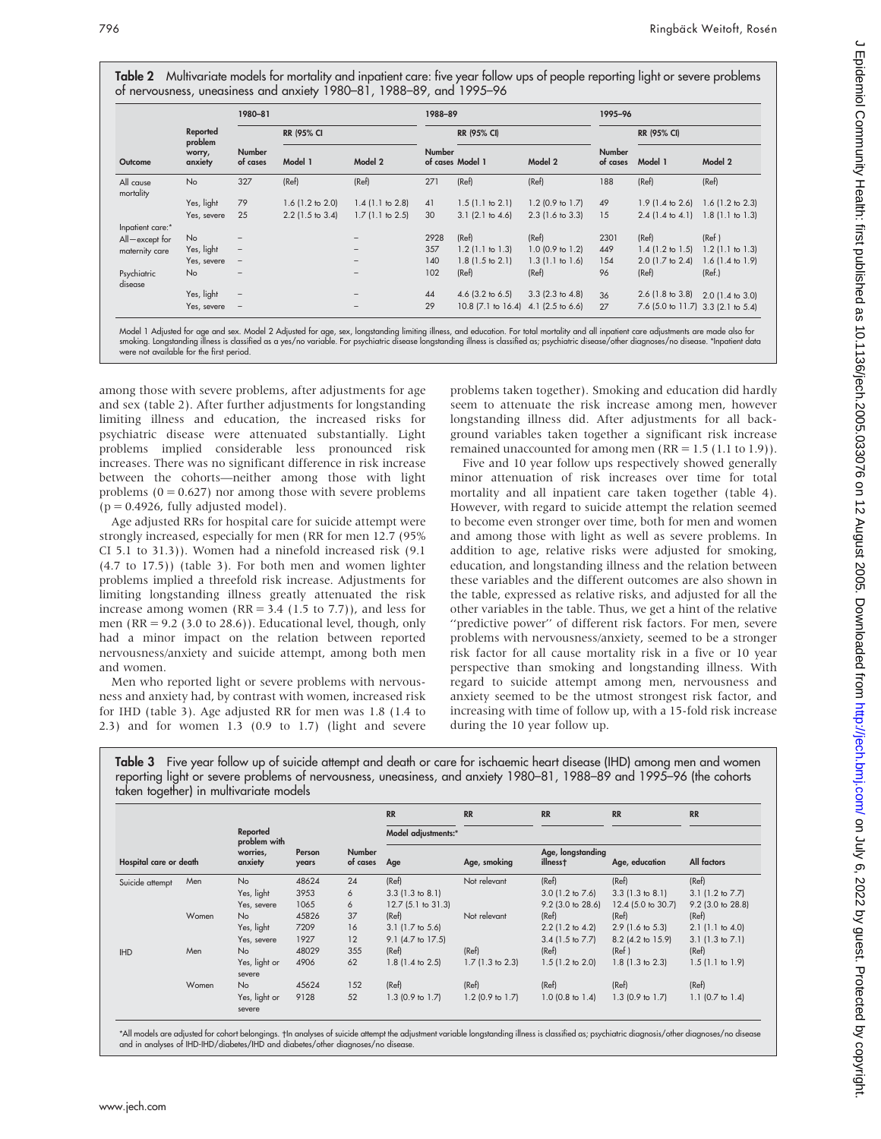Table 2 Multivariate models for mortality and inpatient care: five year follow ups of people reporting light or severe problems of nervousness, uneasiness and anxiety 1980–81, 1988–89, and 1995–96

|                        |                                          | 1980-81                   |                    |                          | 1988-89       |                                     |                    | 1995-96                   |                                                         |                            |
|------------------------|------------------------------------------|---------------------------|--------------------|--------------------------|---------------|-------------------------------------|--------------------|---------------------------|---------------------------------------------------------|----------------------------|
|                        | Reported<br>problem<br>worry,<br>anxiety | <b>Number</b><br>of cases | <b>RR (95% CI</b>  |                          |               | RR (95% CI)                         |                    |                           | RR (95% CI)                                             |                            |
| Outcome                |                                          |                           | Model 1            | Model 2                  | <b>Number</b> | of cases Model 1                    | Model 2            | <b>Number</b><br>of cases | Model 1                                                 | Model 2                    |
| All cause<br>mortality | <b>No</b>                                | 327                       | (Ref)              | (Ref)                    | 271           | (Ref)                               | (Ref)              | 188                       | (Ref)                                                   | (Ref)                      |
|                        | Yes, light                               | 79                        | $1.6$ (1.2 to 2.0) | $1.4$ (1.1 to 2.8)       | 41            | $1.5(1.1 \text{ to } 2.1)$          | $1.2$ (0.9 to 1.7) | 49                        | $1.9(1.4 \text{ to } 2.6)$                              | $1.6$ (1.2 to 2.3)         |
|                        | Yes, severe                              | 25                        | $2.2$ (1.5 to 3.4) | $1.7$ (1.1 to 2.5)       | 30            | $3.1$ (2.1 to 4.6)                  | $2.3$ (1.6 to 3.3) | 15                        | $2.4$ (1.4 to 4.1)                                      | $1.8(1.1 \text{ to } 1.3)$ |
| Inpatient care:*       |                                          |                           |                    |                          |               |                                     |                    |                           |                                                         |                            |
| $All-except for$       | N <sub>o</sub>                           |                           |                    |                          | 2928          | (Ref)                               | (Ref)              | 2301                      | (Ref)                                                   | (Ref)                      |
| maternity care         | Yes, light                               | $\qquad \qquad -$         |                    |                          | 357           | $1.2$ (1.1 to 1.3)                  | $1.0$ (0.9 to 1.2) | 449                       | $1.4$ (1.2 to 1.5)                                      | $1.2$ (1.1 to 1.3)         |
|                        | Yes, severe                              | $\qquad \qquad -$         |                    |                          | 140           | $1.8(1.5 \text{ to } 2.1)$          | $1.3$ (1.1 to 1.6) | 154                       | $2.0$ (1.7 to 2.4)                                      | $1.6$ (1.4 to 1.9)         |
| Psychiatric<br>disease | N <sub>o</sub>                           |                           |                    | $\overline{\phantom{0}}$ | 102           | (Ref)                               | (Ref)              | 96                        | (Ref)                                                   | (Ref.)                     |
|                        | Yes, light                               | $\qquad \qquad -$         |                    | $\overline{\phantom{0}}$ | 44            | 4.6 $(3.2 \text{ to } 6.5)$         | $3.3$ (2.3 to 4.8) | 36                        | 2.6 $(1.8 \text{ to } 3.8)$ 2.0 $(1.4 \text{ to } 3.0)$ |                            |
|                        | Yes, severe                              | $\overline{\phantom{a}}$  |                    | $\overline{\phantom{0}}$ | 29            | 10.8 (7.1 to 16.4) 4.1 (2.5 to 6.6) |                    | 27                        | 7.6 (5.0 to 11.7) 3.3 (2.1 to 5.4)                      |                            |

Model 1 Adjusted tor age and sex. Model 2 Adjusted tor age, sex, longstanding limiting illness, and education. For total mortality and all inpatient care adjustments are made also tor<br>smoking. Longstanding illness is class were not available for the first period.

among those with severe problems, after adjustments for age and sex (table 2). After further adjustments for longstanding limiting illness and education, the increased risks for psychiatric disease were attenuated substantially. Light problems implied considerable less pronounced risk increases. There was no significant difference in risk increase between the cohorts—neither among those with light problems  $(0 = 0.627)$  nor among those with severe problems  $(p = 0.4926,$  fully adjusted model).

Age adjusted RRs for hospital care for suicide attempt were strongly increased, especially for men (RR for men 12.7 (95% CI 5.1 to 31.3)). Women had a ninefold increased risk (9.1 (4.7 to 17.5)) (table 3). For both men and women lighter problems implied a threefold risk increase. Adjustments for limiting longstanding illness greatly attenuated the risk increase among women ( $RR = 3.4$  (1.5 to 7.7)), and less for men (RR =  $9.2$  (3.0 to 28.6)). Educational level, though, only had a minor impact on the relation between reported nervousness/anxiety and suicide attempt, among both men and women.

Men who reported light or severe problems with nervousness and anxiety had, by contrast with women, increased risk for IHD (table 3). Age adjusted RR for men was 1.8 (1.4 to 2.3) and for women 1.3 (0.9 to 1.7) (light and severe problems taken together). Smoking and education did hardly seem to attenuate the risk increase among men, however longstanding illness did. After adjustments for all background variables taken together a significant risk increase remained unaccounted for among men (RR = 1.5 (1.1 to 1.9)).

Five and 10 year follow ups respectively showed generally minor attenuation of risk increases over time for total mortality and all inpatient care taken together (table 4). However, with regard to suicide attempt the relation seemed to become even stronger over time, both for men and women and among those with light as well as severe problems. In addition to age, relative risks were adjusted for smoking, education, and longstanding illness and the relation between these variables and the different outcomes are also shown in the table, expressed as relative risks, and adjusted for all the other variables in the table. Thus, we get a hint of the relative "predictive power" of different risk factors. For men, severe problems with nervousness/anxiety, seemed to be a stronger risk factor for all cause mortality risk in a five or 10 year perspective than smoking and longstanding illness. With regard to suicide attempt among men, nervousness and anxiety seemed to be the utmost strongest risk factor, and increasing with time of follow up, with a 15-fold risk increase during the 10 year follow up.

Table 3 Five year follow up of suicide attempt and death or care for ischaemic heart disease (IHD) among men and women reporting light or severe problems of nervousness, uneasiness, and anxiety 1980–81, 1988–89 and 1995–96 (the cohorts taken together) in multivariate models

|                        |       |                          |                 |                           | <b>RR</b>                  | <b>RR</b>                  | <b>RR</b>                     | <b>RR</b>          | <b>RR</b>                   |  |  |
|------------------------|-------|--------------------------|-----------------|---------------------------|----------------------------|----------------------------|-------------------------------|--------------------|-----------------------------|--|--|
|                        |       | Reported<br>problem with |                 |                           | Model adjustments:*        |                            |                               |                    |                             |  |  |
| Hospital care or death |       | worries,<br>anxiety      | Person<br>years | <b>Number</b><br>of cases | Age                        | Age, smoking               | Age, longstanding<br>illness† | Age, education     | All factors                 |  |  |
| Suicide attempt        | Men   | <b>No</b>                | 48624           | 24                        | (Ref)                      | Not relevant               | (Ref)                         | (Ref)              | (Ref)                       |  |  |
|                        |       | Yes, light               | 3953            | 6                         | $3.3(1.3 \text{ to } 8.1)$ |                            | $3.0$ (1.2 to 7.6)            | $3.3$ (1.3 to 8.1) | $3.1$ (1.2 to 7.7)          |  |  |
|                        |       | Yes, severe              | 1065            | 6                         | $12.7$ (5.1 to 31.3)       |                            | $9.2$ (3.0 to 28.6)           | 12.4 (5.0 to 30.7) | 9.2 (3.0 to 28.8)           |  |  |
|                        | Women | No                       | 45826           | 37                        | (Ref)                      | Not relevant               | (Ref)                         | (Ref)              | (Ref)                       |  |  |
|                        |       | Yes, light               | 7209            | 16                        | $3.1$ (1.7 to 5.6)         |                            | $2.2$ (1.2 to 4.2)            | $2.9$ (1.6 to 5.3) | $2.1$ (1.1 to 4.0)          |  |  |
|                        |       | Yes, severe              | 1927            | 12                        | $9.1$ (4.7 to 17.5)        |                            | $3.4$ (1.5 to 7.7)            | 8.2 (4.2 to 15.9)  | $3.1$ (1.3 to $7.1$ )       |  |  |
| <b>IHD</b>             | Men   | <b>No</b>                | 48029           | 355                       | (Ref)                      | (Ref)                      | (Ref)                         | (Ref)              | (Ref)                       |  |  |
|                        |       | Yes, light or<br>severe  | 4906            | 62                        | $1.8$ (1.4 to 2.5)         | $1.7(1.3 \text{ to } 2.3)$ | $1.5(1.2 \text{ to } 2.0)$    | $1.8$ (1.3 to 2.3) | $1.5(1.1 \text{ to } 1.9)$  |  |  |
|                        | Women | <b>No</b>                | 45624           | 152                       | (Ref)                      | (Ref)                      | (Ref)                         | (Ref)              | (Ref)                       |  |  |
|                        |       | Yes, light or<br>severe  | 9128            | 52                        | $1.3$ (0.9 to 1.7)         | $1.2$ (0.9 to 1.7)         | $1.0$ (0.8 to 1.4)            | $1.3$ (0.9 to 1.7) | 1.1 $(0.7 \text{ to } 1.4)$ |  |  |

\*All models are adjusted for cohort belongings. In analyses of suicide attempt the adjustment variable longstanding illness is classified as; psychiatric diagnosis/other diagnoses/no disease and in analyses of IHD-IHD/diabetes/IHD and diabetes/other diagnoses/no disease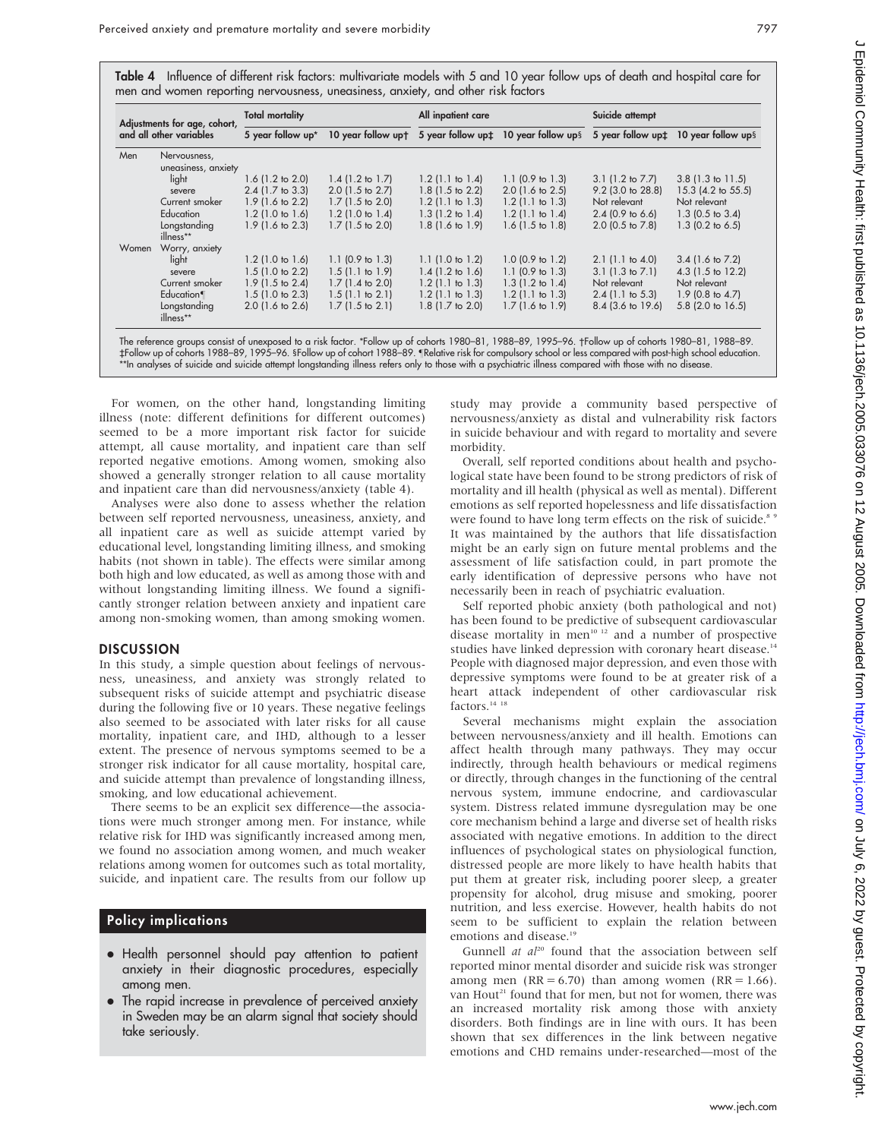Table 4 Influence of different risk factors: multivariate models with 5 and 10 year follow ups of death and hospital care for men and women reporting nervousness, uneasiness, anxiety, and other risk factors

| Adjustments for age, cohort,<br>and all other variables |                     | <b>Total mortality</b>     |                            | All inpatient care         |                                      | Suicide attempt       |                                      |  |
|---------------------------------------------------------|---------------------|----------------------------|----------------------------|----------------------------|--------------------------------------|-----------------------|--------------------------------------|--|
|                                                         |                     | 5 year follow up*          | 10 year follow upt         |                            | 5 year follow up‡ 10 year follow up§ |                       | 5 year follow upt 10 year follow ups |  |
| Men                                                     | Nervousness,        |                            |                            |                            |                                      |                       |                                      |  |
|                                                         | uneasiness, anxiety |                            |                            |                            |                                      |                       |                                      |  |
|                                                         | light               | $1.6$ (1.2 to 2.0)         | $1.4$ (1.2 to 1.7)         | $1.2$ (1.1 to 1.4)         | $1.1$ (0.9 to 1.3)                   | $3.1$ (1.2 to 7.7)    | $3.8$ (1.3 to 11.5)                  |  |
|                                                         | severe              | $2.4$ (1.7 to 3.3)         | $2.0$ (1.5 to 2.7)         | $1.8(1.5 \text{ to } 2.2)$ | $2.0$ (1.6 to $2.5$ )                | $9.2$ (3.0 to 28.8)   | 15.3 (4.2 to 55.5)                   |  |
|                                                         | Current smoker      | $1.9(1.6 \text{ to } 2.2)$ | $1.7(1.5 \text{ to } 2.0)$ | $1.2$ (1.1 to 1.3)         | $1.2$ (1.1 to 1.3)                   | Not relevant          | Not relevant                         |  |
|                                                         | <b>Education</b>    | $1.2$ (1.0 to 1.6)         | $1.2$ (1.0 to 1.4)         | $1.3(1.2 \text{ to } 1.4)$ | $1.2$ (1.1 to 1.4)                   | $2.4$ (0.9 to 6.6)    | $1.3$ (0.5 to 3.4)                   |  |
|                                                         | Longstanding        | $1.9(1.6 \text{ to } 2.3)$ | $1.7$ (1.5 to 2.0)         | $1.8(1.6 \text{ to } 1.9)$ | $1.6$ (1.5 to 1.8)                   | $2.0$ (0.5 to 7.8)    | $1.3$ (0.2 to 6.5)                   |  |
|                                                         | illness**           |                            |                            |                            |                                      |                       |                                      |  |
| Women                                                   | Worry, anxiety      |                            |                            |                            |                                      |                       |                                      |  |
|                                                         | light               | $1.2$ (1.0 to 1.6)         | $1.1$ (0.9 to 1.3)         | $1.1$ (1.0 to 1.2)         | $1.0$ (0.9 to 1.2)                   | $2.1$ (1.1 to 4.0)    | $3.4$ (1.6 to 7.2)                   |  |
|                                                         | severe              | $1.5(1.0 \text{ to } 2.2)$ | $1.5$ (1.1 to 1.9)         | $1.4$ (1.2 to 1.6)         | 1.1 $(0.9 \text{ to } 1.3)$          | $3.1$ (1.3 to $7.1$ ) | 4.3 (1.5 to 12.2)                    |  |
|                                                         | Current smoker      | $1.9(1.5 \text{ to } 2.4)$ | $1.7$ (1.4 to 2.0)         | $1.2$ (1.1 to 1.3)         | $1.3$ (1.2 to 1.4)                   | Not relevant          | Not relevant                         |  |
|                                                         | Education¶          | $1.5(1.0 \text{ to } 2.3)$ | $1.5$ (1.1 to 2.1)         | $1.2$ (1.1 to 1.3)         | $1.2$ (1.1 to 1.3)                   | $2.4$ (1.1 to 5.3)    | $1.9$ (0.8 to 4.7)                   |  |
|                                                         | Longstanding        | $2.0$ (1.6 to 2.6)         | $1.7(1.5 \text{ to } 2.1)$ | $1.8$ (1.7 to 2.0)         | $1.7(1.6 \text{ to } 1.9)$           | 8.4 (3.6 to 19.6)     | 5.8 (2.0 to 16.5)                    |  |
|                                                         | illness**           |                            |                            |                            |                                      |                       |                                      |  |

The reference groups consist of unexposed to a risk factor. \*Follow up of cohorts 1980–81, 1988–89, 1995–96. †Follow up of cohorts 1980–81, 1988–89.<br>‡Follow up of cohorts 1988–89, 1995–96. §Follow up of cohort 1988–89. ¶Re \*\*In analyses of suicide and suicide attempt longstanding illness refers only to those with a psychiatric illness compared with those with no disease.

For women, on the other hand, longstanding limiting illness (note: different definitions for different outcomes) seemed to be a more important risk factor for suicide attempt, all cause mortality, and inpatient care than self reported negative emotions. Among women, smoking also showed a generally stronger relation to all cause mortality and inpatient care than did nervousness/anxiety (table 4).

Analyses were also done to assess whether the relation between self reported nervousness, uneasiness, anxiety, and all inpatient care as well as suicide attempt varied by educational level, longstanding limiting illness, and smoking habits (not shown in table). The effects were similar among both high and low educated, as well as among those with and without longstanding limiting illness. We found a significantly stronger relation between anxiety and inpatient care among non-smoking women, than among smoking women.

#### **DISCUSSION**

In this study, a simple question about feelings of nervousness, uneasiness, and anxiety was strongly related to subsequent risks of suicide attempt and psychiatric disease during the following five or 10 years. These negative feelings also seemed to be associated with later risks for all cause mortality, inpatient care, and IHD, although to a lesser extent. The presence of nervous symptoms seemed to be a stronger risk indicator for all cause mortality, hospital care, and suicide attempt than prevalence of longstanding illness, smoking, and low educational achievement.

There seems to be an explicit sex difference—the associations were much stronger among men. For instance, while relative risk for IHD was significantly increased among men, we found no association among women, and much weaker relations among women for outcomes such as total mortality, suicide, and inpatient care. The results from our follow up

#### Policy implications

- Health personnel should pay attention to patient anxiety in their diagnostic procedures, especially among men.
- The rapid increase in prevalence of perceived anxiety in Sweden may be an alarm signal that society should take seriously.

study may provide a community based perspective of nervousness/anxiety as distal and vulnerability risk factors in suicide behaviour and with regard to mortality and severe morbidity.

Overall, self reported conditions about health and psychological state have been found to be strong predictors of risk of mortality and ill health (physical as well as mental). Different emotions as self reported hopelessness and life dissatisfaction were found to have long term effects on the risk of suicide.<sup>8</sup> 9 It was maintained by the authors that life dissatisfaction might be an early sign on future mental problems and the assessment of life satisfaction could, in part promote the early identification of depressive persons who have not necessarily been in reach of psychiatric evaluation.

Self reported phobic anxiety (both pathological and not) has been found to be predictive of subsequent cardiovascular disease mortality in men<sup>10 12</sup> and a number of prospective studies have linked depression with coronary heart disease.<sup>14</sup> People with diagnosed major depression, and even those with depressive symptoms were found to be at greater risk of a heart attack independent of other cardiovascular risk factors.<sup>14</sup> <sup>18</sup>

Several mechanisms might explain the association between nervousness/anxiety and ill health. Emotions can affect health through many pathways. They may occur indirectly, through health behaviours or medical regimens or directly, through changes in the functioning of the central nervous system, immune endocrine, and cardiovascular system. Distress related immune dysregulation may be one core mechanism behind a large and diverse set of health risks associated with negative emotions. In addition to the direct influences of psychological states on physiological function, distressed people are more likely to have health habits that put them at greater risk, including poorer sleep, a greater propensity for alcohol, drug misuse and smoking, poorer nutrition, and less exercise. However, health habits do not seem to be sufficient to explain the relation between emotions and disease.<sup>19</sup>

Gunnell at  $aI^{20}$  found that the association between self reported minor mental disorder and suicide risk was stronger among men  $(RR = 6.70)$  than among women  $(RR = 1.66)$ . van Hout<sup>21</sup> found that for men, but not for women, there was an increased mortality risk among those with anxiety disorders. Both findings are in line with ours. It has been shown that sex differences in the link between negative emotions and CHD remains under-researched—most of the